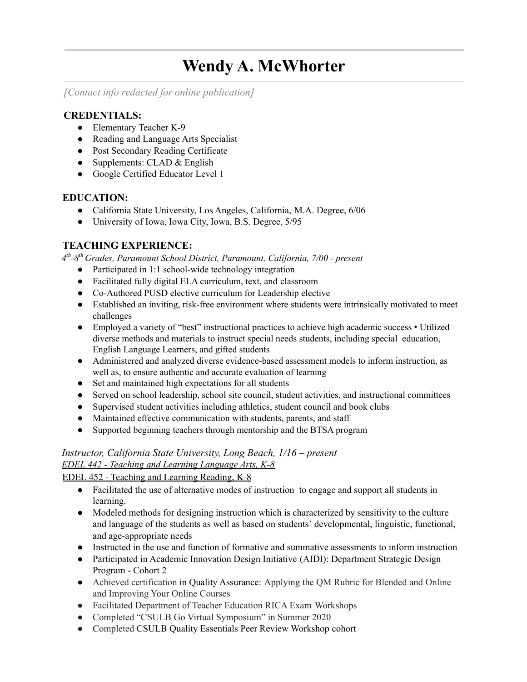# **Wendy A. McWhorter**

*[Contact info redacted for online publication]*

## **CREDENTIALS:**

- Elementary Teacher K-9
- Reading and Language Arts Specialist
- Post Secondary Reading Certificate
- Supplements: CLAD  $&$  English
- Google Certified Educator Level 1

## **EDUCATION:**

- California State University, Los Angeles, California, M.A. Degree, 6/06
- University of Iowa, Iowa City, Iowa, B.S. Degree, 5/95

## **TEACHING EXPERIENCE:**

*4 th-8th Grades, Paramount School District, Paramount, California, 7/00 - present*

- Participated in 1:1 school-wide technology integration
- Facilitated fully digital ELA curriculum, text, and classroom
- Co-Authored PUSD elective curriculum for Leadership elective
- Established an inviting, risk-free environment where students were intrinsically motivated to meet challenges
- Employed a variety of "best" instructional practices to achieve high academic success Utilized diverse methods and materials to instruct special needs students, including special education, English Language Learners, and gifted students
- Administered and analyzed diverse evidence-based assessment models to inform instruction, as well as, to ensure authentic and accurate evaluation of learning
- Set and maintained high expectations for all students
- Served on school leadership, school site council, student activities, and instructional committees
- Supervised student activities including athletics, student council and book clubs
- Maintained effective communication with students, parents, and staff
- Supported beginning teachers through mentorship and the BTSA program

## *Instructor, California State University, Long Beach, 1/16 – present*

## *EDEL 442 - Teaching and Learning Language Arts, K-8*

EDEL 452 - Teaching and Learning Reading, K-8

- Facilitated the use of alternative modes of instruction to engage and support all students in learning.
- Modeled methods for designing instruction which is characterized by sensitivity to the culture and language of the students as well as based on students' developmental, linguistic, functional, and age-appropriate needs
- Instructed in the use and function of formative and summative assessments to inform instruction
- Participated in Academic Innovation Design Initiative (AIDI): Department Strategic Design Program - Cohort 2
- Achieved certification in Quality Assurance: Applying the QM Rubric for Blended and Online and Improving Your Online Courses
- Facilitated Department of Teacher Education RICA Exam Workshops
- Completed "CSULB Go Virtual Symposium" in Summer 2020
- Completed CSULB Quality Essentials Peer Review Workshop cohort